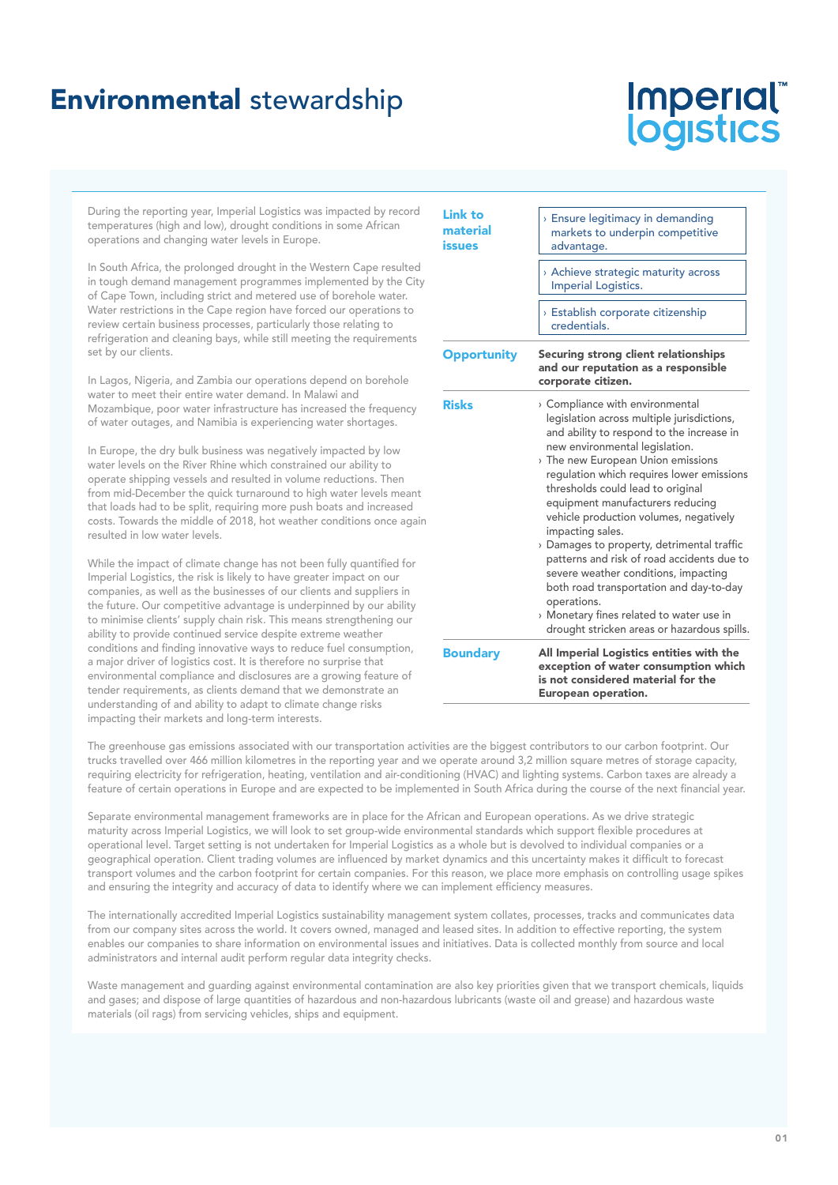## Environmental stewardship

# Imperial®<br>logistics

During the reporting year, Imperial Logistics was impacted by record temperatures (high and low), drought conditions in some African operations and changing water levels in Europe.

In South Africa, the prolonged drought in the Western Cape resulted in tough demand management programmes implemented by the City of Cape Town, including strict and metered use of borehole water. Water restrictions in the Cape region have forced our operations to review certain business processes, particularly those relating to refrigeration and cleaning bays, while still meeting the requirements set by our clients.

In Lagos, Nigeria, and Zambia our operations depend on borehole water to meet their entire water demand. In Malawi and Mozambique, poor water infrastructure has increased the frequency of water outages, and Namibia is experiencing water shortages.

In Europe, the dry bulk business was negatively impacted by low water levels on the River Rhine which constrained our ability to operate shipping vessels and resulted in volume reductions. Then from mid-December the quick turnaround to high water levels meant that loads had to be split, requiring more push boats and increased costs. Towards the middle of 2018, hot weather conditions once again resulted in low water levels.

While the impact of climate change has not been fully quantified for Imperial Logistics, the risk is likely to have greater impact on our companies, as well as the businesses of our clients and suppliers in the future. Our competitive advantage is underpinned by our ability to minimise clients' supply chain risk. This means strengthening our ability to provide continued service despite extreme weather conditions and finding innovative ways to reduce fuel consumption, a major driver of logistics cost. It is therefore no surprise that environmental compliance and disclosures are a growing feature of tender requirements, as clients demand that we demonstrate an understanding of and ability to adapt to climate change risks impacting their markets and long-term interests.

| <b>Link to</b><br>material<br>issues | $\rightarrow$ Ensure legitimacy in demanding<br>markets to underpin competitive<br>advantage.                                                                                                                                                                                                                                                                                                                                                                                                                                                                                                                                                                                 |  |  |  |  |
|--------------------------------------|-------------------------------------------------------------------------------------------------------------------------------------------------------------------------------------------------------------------------------------------------------------------------------------------------------------------------------------------------------------------------------------------------------------------------------------------------------------------------------------------------------------------------------------------------------------------------------------------------------------------------------------------------------------------------------|--|--|--|--|
|                                      | > Achieve strategic maturity across<br><b>Imperial Logistics.</b>                                                                                                                                                                                                                                                                                                                                                                                                                                                                                                                                                                                                             |  |  |  |  |
|                                      | <b>Establish corporate citizenship</b><br>credentials.                                                                                                                                                                                                                                                                                                                                                                                                                                                                                                                                                                                                                        |  |  |  |  |
| <b>Opportunity</b>                   | Securing strong client relationships<br>and our reputation as a responsible<br>corporate citizen.                                                                                                                                                                                                                                                                                                                                                                                                                                                                                                                                                                             |  |  |  |  |
| <b>Risks</b>                         | > Compliance with environmental<br>legislation across multiple jurisdictions,<br>and ability to respond to the increase in<br>new environmental legislation.<br>> The new European Union emissions<br>regulation which requires lower emissions<br>thresholds could lead to original<br>equipment manufacturers reducing<br>vehicle production volumes, negatively<br>impacting sales.<br>> Damages to property, detrimental traffic<br>patterns and risk of road accidents due to<br>severe weather conditions, impacting<br>both road transportation and day-to-day<br>operations.<br>Monetary fines related to water use in<br>drought stricken areas or hazardous spills. |  |  |  |  |
| <b>Boundary</b>                      | All Imperial Logistics entities with the<br>exception of water consumption which<br>is not considered material for the<br><b>European operation.</b>                                                                                                                                                                                                                                                                                                                                                                                                                                                                                                                          |  |  |  |  |

The greenhouse gas emissions associated with our transportation activities are the biggest contributors to our carbon footprint. Our trucks travelled over 466 million kilometres in the reporting year and we operate around 3,2 million square metres of storage capacity, requiring electricity for refrigeration, heating, ventilation and air-conditioning (HVAC) and lighting systems. Carbon taxes are already a feature of certain operations in Europe and are expected to be implemented in South Africa during the course of the next financial year.

Separate environmental management frameworks are in place for the African and European operations. As we drive strategic maturity across Imperial Logistics, we will look to set group-wide environmental standards which support flexible procedures at operational level. Target setting is not undertaken for Imperial Logistics as a whole but is devolved to individual companies or a geographical operation. Client trading volumes are influenced by market dynamics and this uncertainty makes it difficult to forecast transport volumes and the carbon footprint for certain companies. For this reason, we place more emphasis on controlling usage spikes and ensuring the integrity and accuracy of data to identify where we can implement efficiency measures.

The internationally accredited Imperial Logistics sustainability management system collates, processes, tracks and communicates data from our company sites across the world. It covers owned, managed and leased sites. In addition to effective reporting, the system enables our companies to share information on environmental issues and initiatives. Data is collected monthly from source and local administrators and internal audit perform regular data integrity checks.

Waste management and guarding against environmental contamination are also key priorities given that we transport chemicals, liquids and gases; and dispose of large quantities of hazardous and non-hazardous lubricants (waste oil and grease) and hazardous waste materials (oil rags) from servicing vehicles, ships and equipment.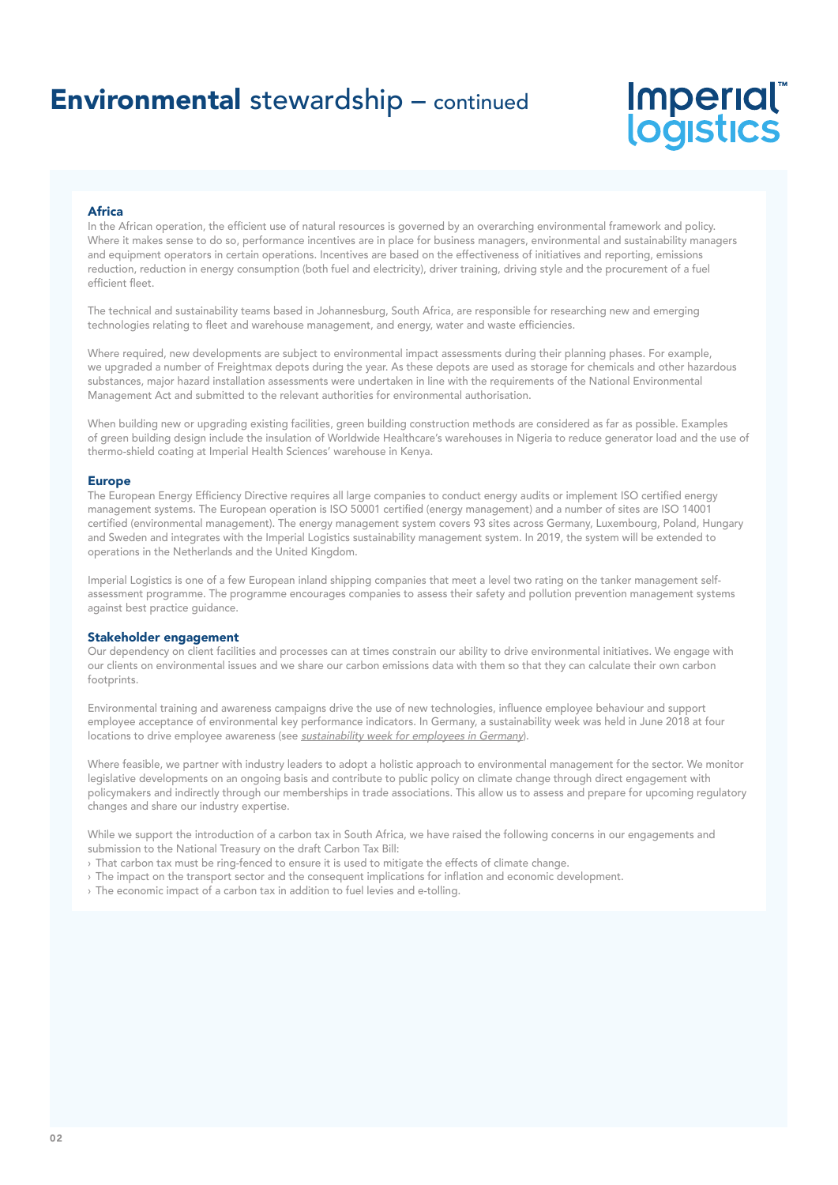# Imperial®<br>logistics

#### Africa

In the African operation, the efficient use of natural resources is governed by an overarching environmental framework and policy. Where it makes sense to do so, performance incentives are in place for business managers, environmental and sustainability managers and equipment operators in certain operations. Incentives are based on the effectiveness of initiatives and reporting, emissions reduction, reduction in energy consumption (both fuel and electricity), driver training, driving style and the procurement of a fuel efficient fleet.

The technical and sustainability teams based in Johannesburg, South Africa, are responsible for researching new and emerging technologies relating to fleet and warehouse management, and energy, water and waste efficiencies.

Where required, new developments are subject to environmental impact assessments during their planning phases. For example, we upgraded a number of Freightmax depots during the year. As these depots are used as storage for chemicals and other hazardous substances, major hazard installation assessments were undertaken in line with the requirements of the National Environmental Management Act and submitted to the relevant authorities for environmental authorisation.

When building new or upgrading existing facilities, green building construction methods are considered as far as possible. Examples of green building design include the insulation of Worldwide Healthcare's warehouses in Nigeria to reduce generator load and the use of thermo-shield coating at Imperial Health Sciences' warehouse in Kenya.

#### Europe

The European Energy Efficiency Directive requires all large companies to conduct energy audits or implement ISO certified energy management systems. The European operation is ISO 50001 certified (energy management) and a number of sites are ISO 14001 certified (environmental management). The energy management system covers 93 sites across Germany, Luxembourg, Poland, Hungary and Sweden and integrates with the Imperial Logistics sustainability management system. In 2019, the system will be extended to operations in the Netherlands and the United Kingdom.

Imperial Logistics is one of a few European inland shipping companies that meet a level two rating on the tanker management selfassessment programme. The programme encourages companies to assess their safety and pollution prevention management systems against best practice guidance.

#### Stakeholder engagement

Our dependency on client facilities and processes can at times constrain our ability to drive environmental initiatives. We engage with our clients on environmental issues and we share our carbon emissions data with them so that they can calculate their own carbon footprints.

Environmental training and awareness campaigns drive the use of new technologies, influence employee behaviour and support employee acceptance of environmental key performance indicators. In Germany, a sustainability week was held in June 2018 at four locations to drive employee awareness (see **sustainability week for employees in Germany**).

Where feasible, we partner with industry leaders to adopt a holistic approach to environmental management for the sector. We monitor legislative developments on an ongoing basis and contribute to public policy on climate change through direct engagement with policymakers and indirectly through our memberships in trade associations. This allow us to assess and prepare for upcoming regulatory changes and share our industry expertise.

While we support the introduction of a carbon tax in South Africa, we have raised the following concerns in our engagements and submission to the National Treasury on the draft Carbon Tax Bill:

- › That carbon tax must be ring-fenced to ensure it is used to mitigate the effects of climate change.
- › The impact on the transport sector and the consequent implications for inflation and economic development.
- › The economic impact of a carbon tax in addition to fuel levies and e-tolling.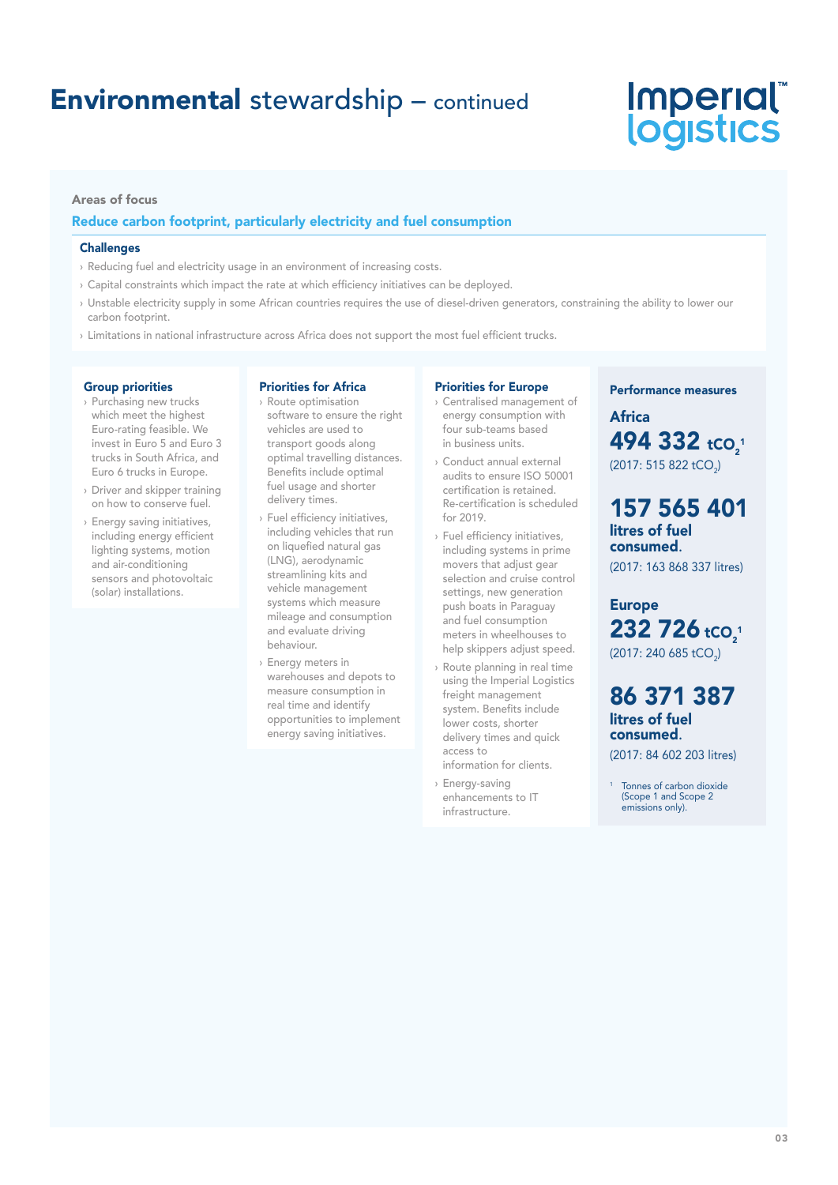# *Imperial* logistics

#### Areas of focus

#### Reduce carbon footprint, particularly electricity and fuel consumption

#### **Challenges**

- › Reducing fuel and electricity usage in an environment of increasing costs.
- › Capital constraints which impact the rate at which efficiency initiatives can be deployed.
- › Unstable electricity supply in some African countries requires the use of diesel-driven generators, constraining the ability to lower our carbon footprint.
- › Limitations in national infrastructure across Africa does not support the most fuel efficient trucks.

#### Group priorities

- › Purchasing new trucks which meet the highest Euro-rating feasible. We invest in Euro 5 and Euro 3 trucks in South Africa, and Euro 6 trucks in Europe.
- › Driver and skipper training on how to conserve fuel.
- › Energy saving initiatives, including energy efficient lighting systems, motion and air-conditioning sensors and photovoltaic (solar) installations.

#### Priorities for Africa

- › Route optimisation software to ensure the right vehicles are used to transport goods along optimal travelling distances. Benefits include optimal fuel usage and shorter delivery times.
- › Fuel efficiency initiatives, including vehicles that run on liquefied natural gas (LNG), aerodynamic streamlining kits and vehicle management systems which measure mileage and consumption and evaluate driving behaviour.
- › Energy meters in warehouses and depots to measure consumption in real time and identify opportunities to implement energy saving initiatives.

#### Priorities for Europe

- › Centralised management of energy consumption with four sub-teams based in business units.
- › Conduct annual external audits to ensure ISO 50001 certification is retained. Re-certification is scheduled for 2019.
- › Fuel efficiency initiatives, including systems in prime movers that adjust gear selection and cruise control settings, new generation push boats in Paraguay and fuel consumption meters in wheelhouses to help skippers adjust speed.
- › Route planning in real time using the Imperial Logistics freight management system. Benefits include lower costs, shorter delivery times and quick access to information for clients.
- › Energy-saving enhancements to IT infrastructure.

#### Performance measures

Africa 494 332 tco<sub>2</sub>1  $(2017: 515 822 tCO<sub>2</sub>)$ 

## 157 565 401 litres of fuel consumed.

(2017: 163 868 337 litres)

Europe  $232\,726$  tCO<sub>2</sub><sup>1</sup>  $(2017: 240 685 tCO<sub>2</sub>)$ 

86 371 387 litres of fuel consumed. (2017: 84 602 203 litres)

Tonnes of carbon dioxide (Scope 1 and Scope 2 emissions only).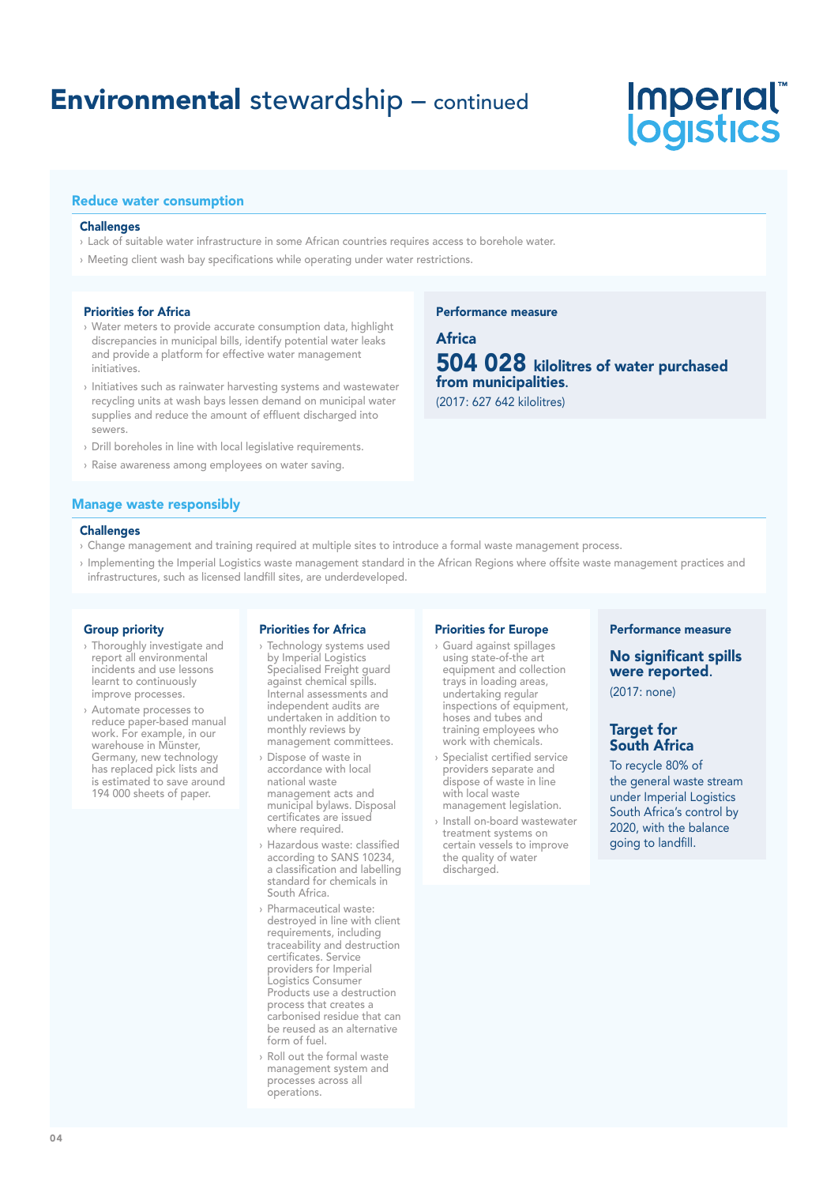# **Imperial®<br>logistics**

#### Reduce water consumption

#### **Challenges**

- › Lack of suitable water infrastructure in some African countries requires access to borehole water.
- › Meeting client wash bay specifications while operating under water restrictions.

#### Priorities for Africa

- › Water meters to provide accurate consumption data, highlight discrepancies in municipal bills, identify potential water leaks and provide a platform for effective water management initiatives.
- › Initiatives such as rainwater harvesting systems and wastewater recycling units at wash bays lessen demand on municipal water supplies and reduce the amount of effluent discharged into sewers.
- › Drill boreholes in line with local legislative requirements.
- › Raise awareness among employees on water saving.

#### Manage waste responsibly

#### **Challenges**

- › Change management and training required at multiple sites to introduce a formal waste management process.
- › Implementing the Imperial Logistics waste management standard in the African Regions where offsite waste management practices and infrastructures, such as licensed landfill sites, are underdeveloped.

#### Group priority

- › Thoroughly investigate and report all environmental incidents and use lessons learnt to continuously improve processes.
- › Automate processes to reduce paper-based manual work. For example, in our warehouse in Münster, Germany, new technology has replaced pick lists and is estimated to save around 194 000 sheets of paper.

#### Priorities for Africa

- › Technology systems used by Imperial Logistics Specialised Freight guard against chemical spills. Internal assessments and independent audits are undertaken in addition to monthly reviews by management committees.
- › Dispose of waste in accordance with local national waste management acts and municipal bylaws. Disposal certificates are issued where required.
- › Hazardous waste: classified according to SANS 10234, a classification and labelling standard for chemicals in South Africa.
- › Pharmaceutical waste: destroyed in line with client requirements, including traceability and destruction certificates. Service providers for Imperial Logistics Consumer Products use a destruction process that creates a carbonised residue that can be reused as an alternative form of fuel.
- › Roll out the formal waste management system and processes across all operations.

### 504 028 kilolitres of water purchased from municipalities.

Africa

Performance measure

(2017: 627 642 kilolitres)

#### Priorities for Europe

- › Guard against spillages using state-of-the art equipment and collection trays in loading areas, undertaking regular inspections of equipment, hoses and tubes and training employees who work with chemicals.
- › Specialist certified service providers separate and dispose of waste in line with local waste management legislation.
- › Install on-board wastewater treatment systems on certain vessels to improve the quality of water discharged.

#### Performance measure

#### No significant spills were reported.

(2017: none)

#### Target for South Africa

To recycle 80% of the general waste stream under Imperial Logistics South Africa's control by 2020, with the balance going to landfill.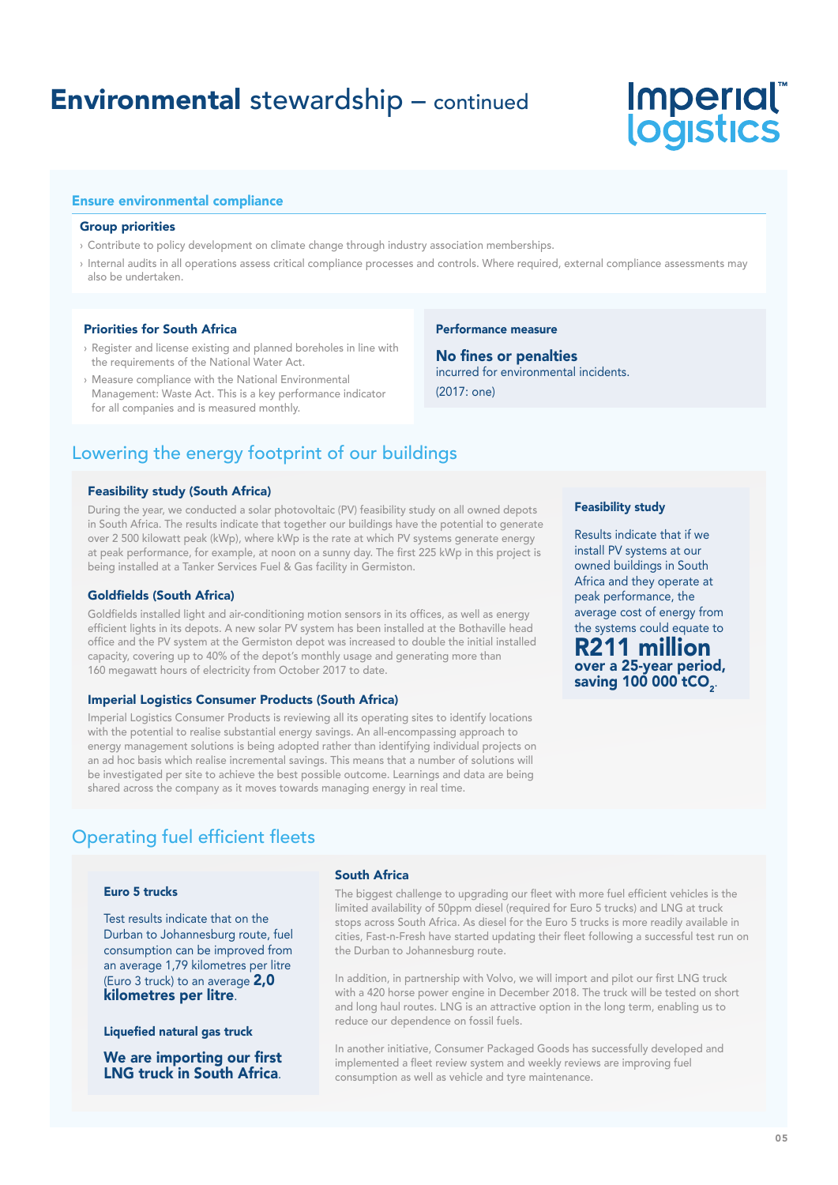# <u>Imperial</u> logistics

#### Ensure environmental compliance

#### Group priorities

- › Contribute to policy development on climate change through industry association memberships.
- › Internal audits in all operations assess critical compliance processes and controls. Where required, external compliance assessments may also be undertaken.

#### Priorities for South Africa

- › Register and license existing and planned boreholes in line with the requirements of the National Water Act.
- › Measure compliance with the National Environmental Management: Waste Act. This is a key performance indicator for all companies and is measured monthly.

## Lowering the energy footprint of our buildings

#### Feasibility study (South Africa)

During the year, we conducted a solar photovoltaic (PV) feasibility study on all owned depots in South Africa. The results indicate that together our buildings have the potential to generate over 2 500 kilowatt peak (kWp), where kWp is the rate at which PV systems generate energy at peak performance, for example, at noon on a sunny day. The first 225 kWp in this project is being installed at a Tanker Services Fuel & Gas facility in Germiston.

#### Goldfields (South Africa)

Goldfields installed light and air-conditioning motion sensors in its offices, as well as energy efficient lights in its depots. A new solar PV system has been installed at the Bothaville head office and the PV system at the Germiston depot was increased to double the initial installed capacity, covering up to 40% of the depot's monthly usage and generating more than 160 megawatt hours of electricity from October 2017 to date.

#### Imperial Logistics Consumer Products (South Africa)

Imperial Logistics Consumer Products is reviewing all its operating sites to identify locations with the potential to realise substantial energy savings. An all-encompassing approach to energy management solutions is being adopted rather than identifying individual projects on an ad hoc basis which realise incremental savings. This means that a number of solutions will be investigated per site to achieve the best possible outcome. Learnings and data are being shared across the company as it moves towards managing energy in real time.

#### Performance measure

No fines or penalties incurred for environmental incidents. (2017: one)

#### Feasibility study

Results indicate that if we install PV systems at our owned buildings in South Africa and they operate at peak performance, the average cost of energy from the systems could equate to

R211 million over a 25-year period, saving 100 000 tCO<sub>2</sub>.

## Operating fuel efficient fleets

#### Euro 5 trucks

Test results indicate that on the Durban to Johannesburg route, fuel consumption can be improved from an average 1,79 kilometres per litre (Euro 3 truck) to an average 2,0 kilometres per litre.

#### Liquefied natural gas truck

We are importing our first LNG truck in South Africa.

#### South Africa

The biggest challenge to upgrading our fleet with more fuel efficient vehicles is the limited availability of 50ppm diesel (required for Euro 5 trucks) and LNG at truck stops across South Africa. As diesel for the Euro 5 trucks is more readily available in cities, Fast-n-Fresh have started updating their fleet following a successful test run on the Durban to Johannesburg route.

In addition, in partnership with Volvo, we will import and pilot our first LNG truck with a 420 horse power engine in December 2018. The truck will be tested on short and long haul routes. LNG is an attractive option in the long term, enabling us to reduce our dependence on fossil fuels.

In another initiative, Consumer Packaged Goods has successfully developed and implemented a fleet review system and weekly reviews are improving fuel consumption as well as vehicle and tyre maintenance.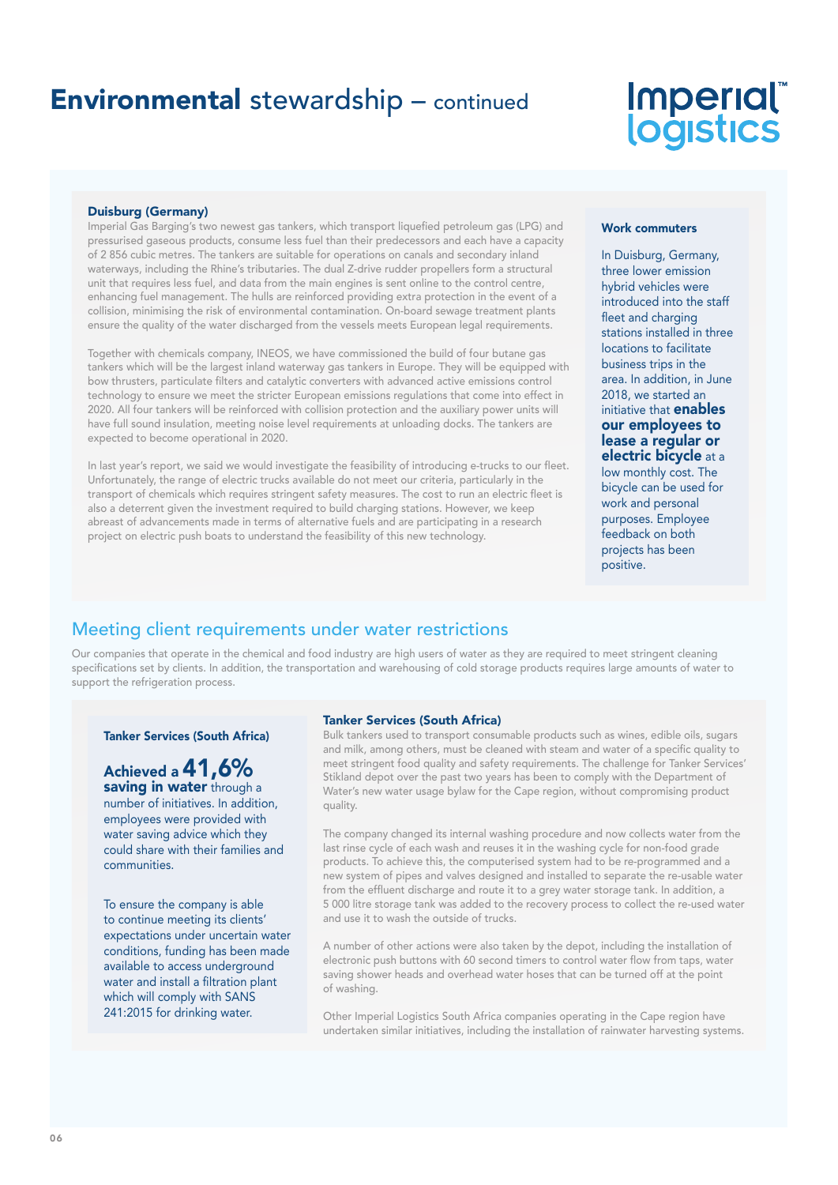# **Imperial®<br>logistics**

#### Duisburg (Germany)

Imperial Gas Barging's two newest gas tankers, which transport liquefied petroleum gas (LPG) and pressurised gaseous products, consume less fuel than their predecessors and each have a capacity of 2 856 cubic metres. The tankers are suitable for operations on canals and secondary inland waterways, including the Rhine's tributaries. The dual Z-drive rudder propellers form a structural unit that requires less fuel, and data from the main engines is sent online to the control centre, enhancing fuel management. The hulls are reinforced providing extra protection in the event of a collision, minimising the risk of environmental contamination. On-board sewage treatment plants ensure the quality of the water discharged from the vessels meets European legal requirements.

Together with chemicals company, INEOS, we have commissioned the build of four butane gas tankers which will be the largest inland waterway gas tankers in Europe. They will be equipped with bow thrusters, particulate filters and catalytic converters with advanced active emissions control technology to ensure we meet the stricter European emissions regulations that come into effect in 2020. All four tankers will be reinforced with collision protection and the auxiliary power units will have full sound insulation, meeting noise level requirements at unloading docks. The tankers are expected to become operational in 2020.

In last year's report, we said we would investigate the feasibility of introducing e-trucks to our fleet. Unfortunately, the range of electric trucks available do not meet our criteria, particularly in the transport of chemicals which requires stringent safety measures. The cost to run an electric fleet is also a deterrent given the investment required to build charging stations. However, we keep abreast of advancements made in terms of alternative fuels and are participating in a research project on electric push boats to understand the feasibility of this new technology.

#### Work commuters

In Duisburg, Germany, three lower emission hybrid vehicles were introduced into the staff fleet and charging stations installed in three locations to facilitate business trips in the area. In addition, in June 2018, we started an initiative that **enables** our employees to lease a regular or electric bicycle at a low monthly cost. The bicycle can be used for work and personal purposes. Employee feedback on both projects has been positive.

### Meeting client requirements under water restrictions

Our companies that operate in the chemical and food industry are high users of water as they are required to meet stringent cleaning specifications set by clients. In addition, the transportation and warehousing of cold storage products requires large amounts of water to support the refrigeration process.

#### Tanker Services (South Africa)

### Achieved a 41,6% saving in water through a

number of initiatives. In addition, employees were provided with water saving advice which they could share with their families and communities.

To ensure the company is able to continue meeting its clients' expectations under uncertain water conditions, funding has been made available to access underground water and install a filtration plant which will comply with SANS 241:2015 for drinking water.

#### Tanker Services (South Africa)

Bulk tankers used to transport consumable products such as wines, edible oils, sugars and milk, among others, must be cleaned with steam and water of a specific quality to meet stringent food quality and safety requirements. The challenge for Tanker Services' Stikland depot over the past two years has been to comply with the Department of Water's new water usage bylaw for the Cape region, without compromising product quality.

The company changed its internal washing procedure and now collects water from the last rinse cycle of each wash and reuses it in the washing cycle for non-food grade products. To achieve this, the computerised system had to be re-programmed and a new system of pipes and valves designed and installed to separate the re-usable water from the effluent discharge and route it to a grey water storage tank. In addition, a 5 000 litre storage tank was added to the recovery process to collect the re-used water and use it to wash the outside of trucks.

A number of other actions were also taken by the depot, including the installation of electronic push buttons with 60 second timers to control water flow from taps, water saving shower heads and overhead water hoses that can be turned off at the point of washing.

Other Imperial Logistics South Africa companies operating in the Cape region have undertaken similar initiatives, including the installation of rainwater harvesting systems.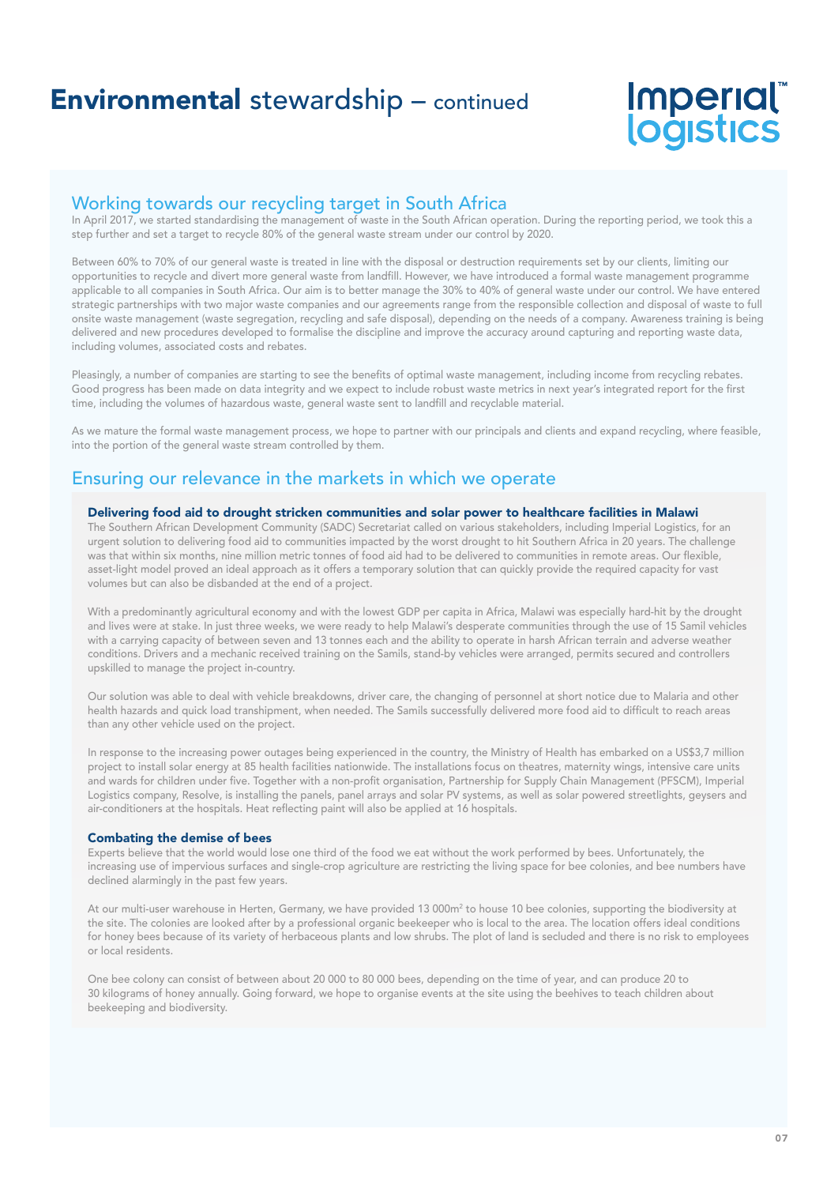# Imperial®<br>logistics

### Working towards our recycling target in South Africa

In April 2017, we started standardising the management of waste in the South African operation. During the reporting period, we took this a step further and set a target to recycle 80% of the general waste stream under our control by 2020.

Between 60% to 70% of our general waste is treated in line with the disposal or destruction requirements set by our clients, limiting our opportunities to recycle and divert more general waste from landfill. However, we have introduced a formal waste management programme applicable to all companies in South Africa. Our aim is to better manage the 30% to 40% of general waste under our control. We have entered strategic partnerships with two major waste companies and our agreements range from the responsible collection and disposal of waste to full onsite waste management (waste segregation, recycling and safe disposal), depending on the needs of a company. Awareness training is being delivered and new procedures developed to formalise the discipline and improve the accuracy around capturing and reporting waste data, including volumes, associated costs and rebates.

Pleasingly, a number of companies are starting to see the benefits of optimal waste management, including income from recycling rebates. Good progress has been made on data integrity and we expect to include robust waste metrics in next year's integrated report for the first time, including the volumes of hazardous waste, general waste sent to landfill and recyclable material.

As we mature the formal waste management process, we hope to partner with our principals and clients and expand recycling, where feasible, into the portion of the general waste stream controlled by them.

## Ensuring our relevance in the markets in which we operate

#### Delivering food aid to drought stricken communities and solar power to healthcare facilities in Malawi

The Southern African Development Community (SADC) Secretariat called on various stakeholders, including Imperial Logistics, for an urgent solution to delivering food aid to communities impacted by the worst drought to hit Southern Africa in 20 years. The challenge was that within six months, nine million metric tonnes of food aid had to be delivered to communities in remote areas. Our flexible, asset-light model proved an ideal approach as it offers a temporary solution that can quickly provide the required capacity for vast volumes but can also be disbanded at the end of a project.

With a predominantly agricultural economy and with the lowest GDP per capita in Africa, Malawi was especially hard-hit by the drought and lives were at stake. In just three weeks, we were ready to help Malawi's desperate communities through the use of 15 Samil vehicles with a carrying capacity of between seven and 13 tonnes each and the ability to operate in harsh African terrain and adverse weather conditions. Drivers and a mechanic received training on the Samils, stand-by vehicles were arranged, permits secured and controllers upskilled to manage the project in-country.

Our solution was able to deal with vehicle breakdowns, driver care, the changing of personnel at short notice due to Malaria and other health hazards and quick load transhipment, when needed. The Samils successfully delivered more food aid to difficult to reach areas than any other vehicle used on the project.

In response to the increasing power outages being experienced in the country, the Ministry of Health has embarked on a US\$3,7 million project to install solar energy at 85 health facilities nationwide. The installations focus on theatres, maternity wings, intensive care units and wards for children under five. Together with a non-profit organisation, Partnership for Supply Chain Management (PFSCM), Imperial Logistics company, Resolve, is installing the panels, panel arrays and solar PV systems, as well as solar powered streetlights, geysers and air-conditioners at the hospitals. Heat reflecting paint will also be applied at 16 hospitals.

#### Combating the demise of bees

Experts believe that the world would lose one third of the food we eat without the work performed by bees. Unfortunately, the increasing use of impervious surfaces and single-crop agriculture are restricting the living space for bee colonies, and bee numbers have declined alarmingly in the past few years.

At our multi-user warehouse in Herten, Germany, we have provided 13 000m² to house 10 bee colonies, supporting the biodiversity at the site. The colonies are looked after by a professional organic beekeeper who is local to the area. The location offers ideal conditions for honey bees because of its variety of herbaceous plants and low shrubs. The plot of land is secluded and there is no risk to employees or local residents.

One bee colony can consist of between about 20 000 to 80 000 bees, depending on the time of year, and can produce 20 to 30 kilograms of honey annually. Going forward, we hope to organise events at the site using the beehives to teach children about beekeeping and biodiversity.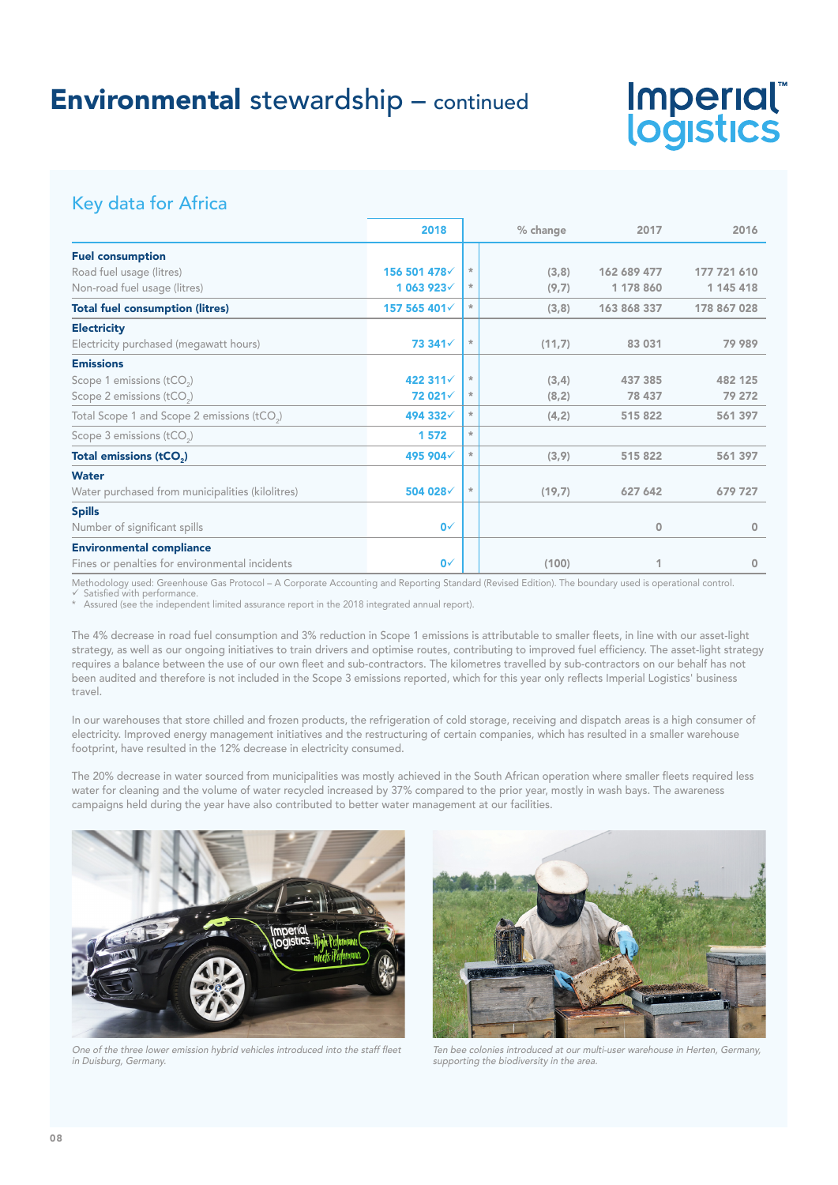

## Key data for Africa

|                                                         | 2018                     |               | % change | 2017        | 2016        |
|---------------------------------------------------------|--------------------------|---------------|----------|-------------|-------------|
| <b>Fuel consumption</b>                                 |                          |               |          |             |             |
| Road fuel usage (litres)                                | 156 501 478 $\checkmark$ | $\star$       | (3,8)    | 162 689 477 | 177 721 610 |
| Non-road fuel usage (litres)                            | 1063923                  | $\mathcal{H}$ | (9,7)    | 1 178 860   | 1 145 418   |
| <b>Total fuel consumption (litres)</b>                  | 157 565 401 $\checkmark$ | $\mathcal{H}$ | (3,8)    | 163 868 337 | 178 867 028 |
| <b>Electricity</b>                                      |                          |               |          |             |             |
| Electricity purchased (megawatt hours)                  | 73 341 $\checkmark$      | $\pm$         | (11,7)   | 83 031      | 79 989      |
| <b>Emissions</b>                                        |                          |               |          |             |             |
| Scope 1 emissions (tCO <sub>2</sub> )                   | 422 311√                 | $\star$       | (3,4)    | 437 385     | 482 125     |
| Scope 2 emissions $(tCO2)$                              | 72 021√                  | $\ast$        | (8,2)    | 78 437      | 79 272      |
| Total Scope 1 and Scope 2 emissions (tCO <sub>2</sub> ) | 494 332√                 | $\mathcal{H}$ | (4,2)    | 515 822     | 561 397     |
| Scope 3 emissions (tCO <sub>2</sub> )                   | 1572                     | $\mathcal{H}$ |          |             |             |
| Total emissions (tCO <sub>2</sub> )                     | 495 904√                 | $\mathcal{H}$ | (3, 9)   | 515 822     | 561 397     |
| <b>Water</b>                                            |                          |               |          |             |             |
| Water purchased from municipalities (kilolitres)        | 504 028√                 | $\mathcal{H}$ | (19,7)   | 627 642     | 679 727     |
| <b>Spills</b>                                           |                          |               |          |             |             |
| Number of significant spills                            | 0 <sub>1</sub>           |               |          | 0           | $\circ$     |
| <b>Environmental compliance</b>                         |                          |               |          |             |             |
| Fines or penalties for environmental incidents          | 0<                       |               | (100)    |             | 0           |

Methodology used: Greenhouse Gas Protocol – A Corporate Accounting and Reporting Standard (Revised Edition). The boundary used is operational control.

√ Satisfied with performance.<br>\* Assured (see the independent limited assurance report in the 2018 integrated annual report).

The 4% decrease in road fuel consumption and 3% reduction in Scope 1 emissions is attributable to smaller fleets, in line with our asset-light strategy, as well as our ongoing initiatives to train drivers and optimise routes, contributing to improved fuel efficiency. The asset-light strategy requires a balance between the use of our own fleet and sub-contractors. The kilometres travelled by sub-contractors on our behalf has not been audited and therefore is not included in the Scope 3 emissions reported, which for this year only reflects Imperial Logistics' business travel.

In our warehouses that store chilled and frozen products, the refrigeration of cold storage, receiving and dispatch areas is a high consumer of electricity. Improved energy management initiatives and the restructuring of certain companies, which has resulted in a smaller warehouse footprint, have resulted in the 12% decrease in electricity consumed.

The 20% decrease in water sourced from municipalities was mostly achieved in the South African operation where smaller fleets required less water for cleaning and the volume of water recycled increased by 37% compared to the prior year, mostly in wash bays. The awareness campaigns held during the year have also contributed to better water management at our facilities.



One of the three lower emission hybrid vehicles introduced into the staff fleet in Duisburg, Germany.



Ten bee colonies introduced at our multi-user warehouse in Herten, Germany, supporting the biodiversity in the area.